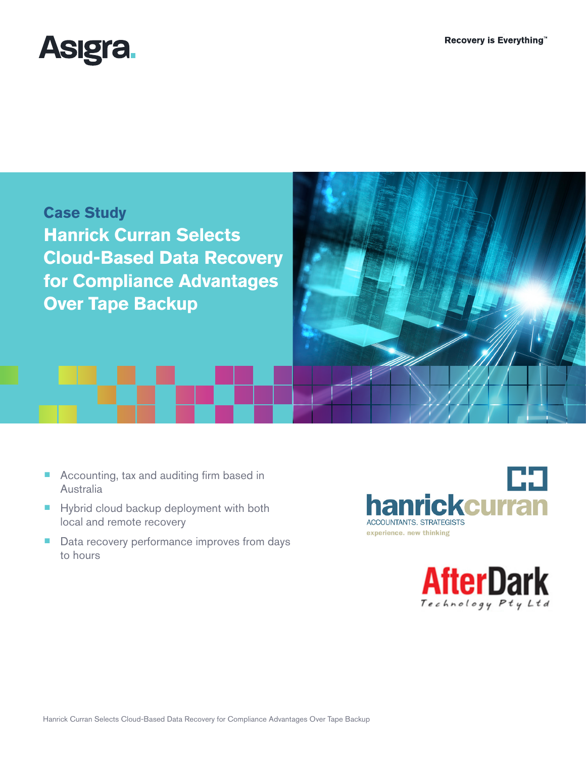



- Accounting, tax and auditing firm based in Australia
- Hybrid cloud backup deployment with both local and remote recovery
- Data recovery performance improves from days to hours



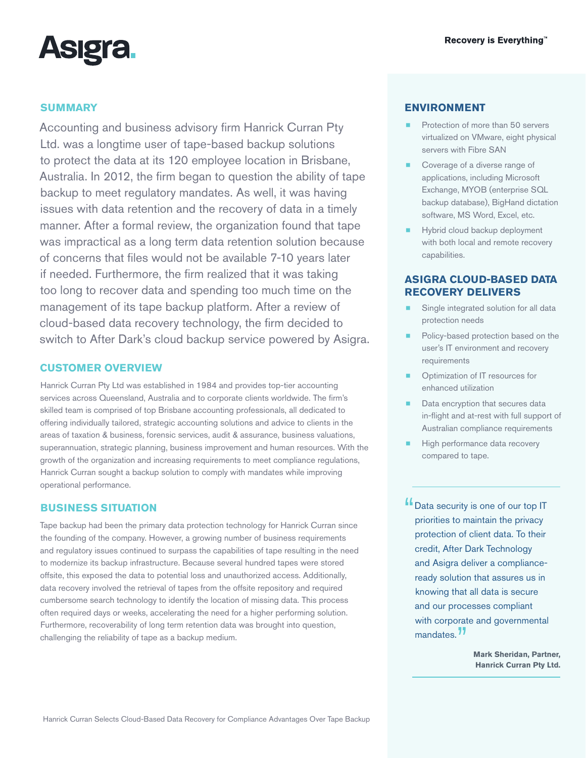

# **SUMMARY**

Accounting and business advisory firm Hanrick Curran Pty Ltd. was a longtime user of tape-based backup solutions to protect the data at its 120 employee location in Brisbane, Australia. In 2012, the firm began to question the ability of tape backup to meet regulatory mandates. As well, it was having issues with data retention and the recovery of data in a timely manner. After a formal review, the organization found that tape was impractical as a long term data retention solution because of concerns that files would not be available 7-10 years later if needed. Furthermore, the firm realized that it was taking too long to recover data and spending too much time on the management of its tape backup platform. After a review of cloud-based data recovery technology, the firm decided to switch to After Dark's cloud backup service powered by Asigra.

#### **CUSTOMER OVERVIEW**

Hanrick Curran Pty Ltd was established in 1984 and provides top-tier accounting services across Queensland, Australia and to corporate clients worldwide. The firm's skilled team is comprised of top Brisbane accounting professionals, all dedicated to offering individually tailored, strategic accounting solutions and advice to clients in the areas of taxation & business, forensic services, audit & assurance, business valuations, superannuation, strategic planning, business improvement and human resources. With the growth of the organization and increasing requirements to meet compliance regulations, Hanrick Curran sought a backup solution to comply with mandates while improving operational performance.

#### **BUSINESS SITUATION**

Tape backup had been the primary data protection technology for Hanrick Curran since the founding of the company. However, a growing number of business requirements and regulatory issues continued to surpass the capabilities of tape resulting in the need to modernize its backup infrastructure. Because several hundred tapes were stored offsite, this exposed the data to potential loss and unauthorized access. Additionally, data recovery involved the retrieval of tapes from the offsite repository and required cumbersome search technology to identify the location of missing data. This process often required days or weeks, accelerating the need for a higher performing solution. Furthermore, recoverability of long term retention data was brought into question, challenging the reliability of tape as a backup medium.

### **ENVIRONMENT**

- Protection of more than 50 servers virtualized on VMware, eight physical servers with Fibre SAN
- Coverage of a diverse range of applications, including Microsoft Exchange, MYOB (enterprise SQL backup database), BigHand dictation software, MS Word, Excel, etc.
- Hybrid cloud backup deployment with both local and remote recovery capabilities.

## **ASIGRA CLOUD-BASED DATA RECOVERY DELIVERS**

- Single integrated solution for all data protection needs
- Policy-based protection based on the user's IT environment and recovery requirements
- Optimization of IT resources for enhanced utilization
- Data encryption that secures data in-flight and at-rest with full support of Australian compliance requirements
- High performance data recovery compared to tape.
- **"** Data security is one of our top IT priorities to maintain the privacy protection of client data. To their credit, After Dark Technology and Asigra deliver a complianceready solution that assures us in knowing that all data is secure and our processes compliant with corporate and governmental mandates.<sup>77</sup>

**Mark Sheridan, Partner, Hanrick Curran Pty Ltd.**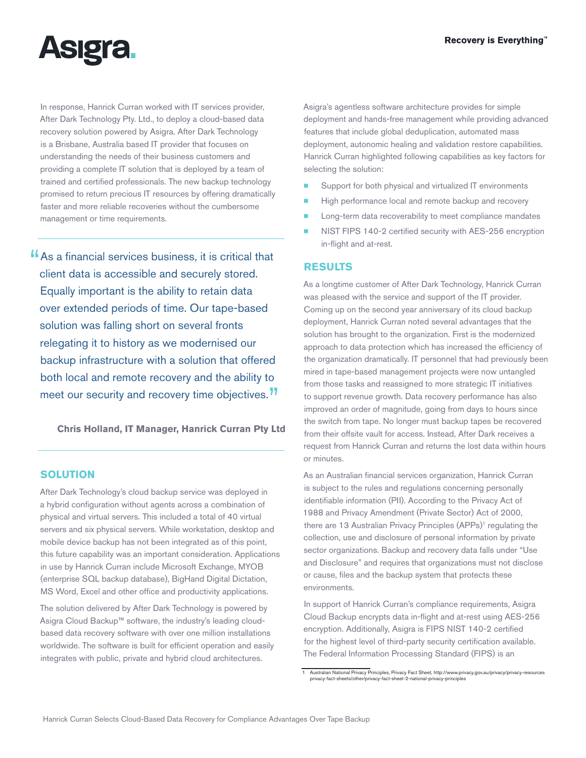

In response, Hanrick Curran worked with IT services provider, [After Dark Technology Pty. Ltd.](http://www.adit.net.au/), to deploy a cloud-based data recovery solution powered by Asigra. After Dark Technology is a Brisbane, Australia based IT provider that focuses on understanding the needs of their business customers and providing a complete IT solution that is deployed by a team of trained and certified professionals. The new backup technology promised to return precious IT resources by offering dramatically faster and more reliable recoveries without the cumbersome management or time requirements.

"As a financial services business, it is critical that client data is accessible and securely stored. Equally important is the ability to retain data over extended periods of time. Our tape-based solution was falling short on several fronts relegating it to history as we modernised our backup infrastructure with a solution that offered both local and remote recovery and the ability to meet our security and recovery time objectives.<sup>77</sup>

**Chris Holland, IT Manager, Hanrick Curran Pty Ltd**

## **SOLUTION**

After Dark Technology's cloud backup service was deployed in a hybrid configuration without agents across a combination of physical and virtual servers. This included a total of 40 virtual servers and six physical servers. While workstation, desktop and mobile device backup has not been integrated as of this point, this future capability was an important consideration. Applications in use by Hanrick Curran include Microsoft Exchange, MYOB (enterprise SQL backup database), BigHand Digital Dictation, MS Word, Excel and other office and productivity applications.

The solution delivered by After Dark Technology is powered by Asigra Cloud Backup™ software, the industry's leading cloudbased data recovery software with over one million installations worldwide. The software is built for efficient operation and easily integrates with public, private and hybrid cloud architectures.

Asigra's agentless software architecture provides for simple deployment and hands-free management while providing advanced features that include global deduplication, automated mass deployment, autonomic healing and validation restore capabilities. Hanrick Curran highlighted following capabilities as key factors for selecting the solution:

- Support for both physical and virtualized IT environments
- High performance local and remote backup and recovery
- Long-term data recoverability to meet compliance mandates
- **[NIST FIPS 140-2 certified security](http://www.asigra.com/fips-140-2-certification-backup) with AES-256 encryption** in-flight and at-rest.

#### **RESULTS**

As a longtime customer of After Dark Technology, Hanrick Curran was pleased with the service and support of the IT provider. Coming up on the second year anniversary of its cloud backup deployment, Hanrick Curran noted several advantages that the solution has brought to the organization. First is the modernized approach to data protection which has increased the efficiency of the organization dramatically. IT personnel that had previously been mired in tape-based management projects were now untangled from those tasks and reassigned to more strategic IT initiatives to support revenue growth. Data recovery performance has also improved an order of magnitude, going from days to hours since the switch from tape. No longer must backup tapes be recovered from their offsite vault for access. Instead, After Dark receives a request from Hanrick Curran and returns the lost data within hours or minutes.

As an Australian financial services organization, Hanrick Curran is subject to the rules and regulations concerning personally identifiable information (PII). According to the Privacy Act of 1988 and Privacy Amendment (Private Sector) Act of 2000, there are 13 Australian [Privacy Principles \(APPs\)](http://www.privacy.gov.au/publications/npps01.html)<sup>1</sup> regulating the collection, use and disclosure of personal information by private sector organizations. Backup and recovery data falls under "Use and Disclosure" and requires that organizations must not disclose or cause, files and the backup system that protects these environments.

In support of Hanrick Curran's compliance requirements, Asigra Cloud Backup encrypts data in-flight and at-rest using AES-256 encryption. Additionally, Asigra is FIPS NIST 140-2 certified for the highest level of third-party security certification available. The Federal Information Processing Standard (FIPS) is an

<sup>1</sup> Australian National Privacy Principles, Privacy Fact Sheet, [http://www.privacy.gov.au/privacy/privacy-resources](http://www.privacy.gov.au/privacy/privacy-resources/privacy-fact-sheets/other/privacy-fact-sheet-2-national-privacy-principles) [privacy-fact-sheets/other/privacy-fact-sheet-2-national-privacy-principles](http://www.privacy.gov.au/privacy/privacy-resources/privacy-fact-sheets/other/privacy-fact-sheet-2-national-privacy-principles)